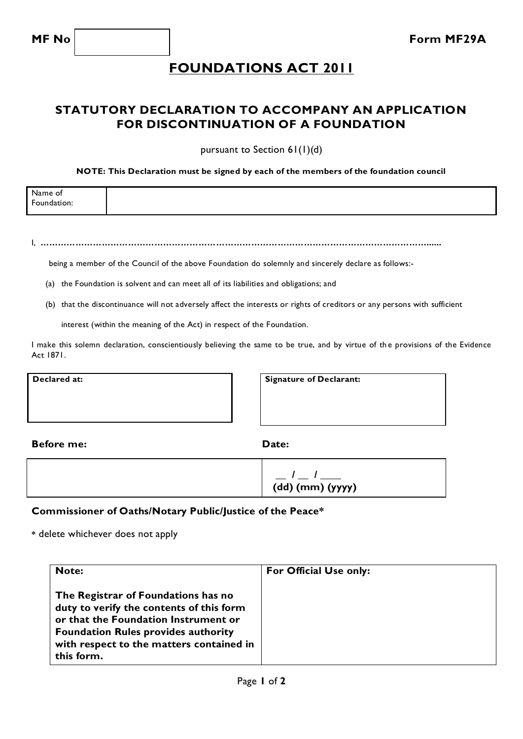## **FOUNDATIONS ACT 2011**

### **STATUTORY DECLARATION TO ACCOMPANY AN APPLICATION FOR DISCONTINUATION OF A FOUNDATION**

pursuant to Section 61(1)(d)

#### **NOTE: This Declaration must be signed by each of the members of the foundation council**

| Name of          |  |  |
|------------------|--|--|
| Foundation:<br>. |  |  |
|                  |  |  |

I, **……………………………………………………………………………………………………………………......**

being a member of the Council of the above Foundation do solemnly and sincerely declare as follows:-

- (a) the Foundation is solvent and can meet all of its liabilities and obligations; and
- (b) that the discontinuance will not adversely affect the interests or rights of creditors or any persons with sufficient

interest (within the meaning of the Act) in respect of the Foundation.

I make this solemn declaration, conscientiously believing the same to be true, and by virtue of the provisions of the Evidence Act 1871.

**Declared at: Signature of Declarant:** 

**Before me:** Date:

| $\frac{1}{\sqrt{2}}$ $\frac{1}{\sqrt{2}}$ $\frac{1}{\sqrt{2}}$ |
|----------------------------------------------------------------|
| $\overline{(dd)(mm)(\gamma\gamma\gamma\gamma)}$                |
|                                                                |

#### **Commissioner of Oaths/Notary Public/Justice of the Peace\***

**\*** delete whichever does not apply

| <b>Note:</b>                                                                                                                                                                                                                    | For Official Use only: |
|---------------------------------------------------------------------------------------------------------------------------------------------------------------------------------------------------------------------------------|------------------------|
| The Registrar of Foundations has no<br>duty to verify the contents of this form<br>or that the Foundation Instrument or<br><b>Foundation Rules provides authority</b><br>with respect to the matters contained in<br>this form. |                        |